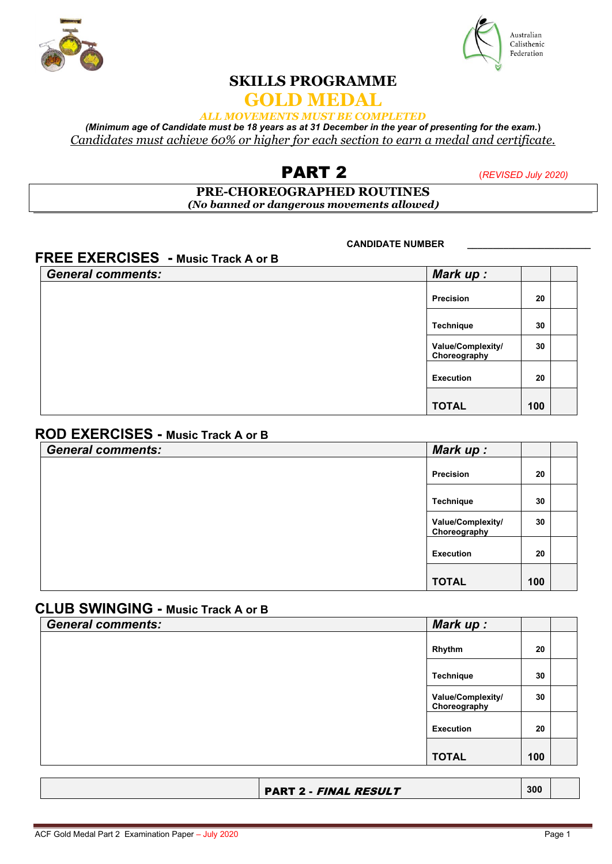



# **SKILLS PROGRAMME**

## **GOLD MEDAL**

### *ALL MOVEMENTS MUST BE COMPLETED*

*(Minimum age of Candidate must be 18 years as at 31 December in the year of presenting for the exam.***)** *Candidates must achieve 60% or higher for each section to earn a medal and certificate.*

# PART 2 (*REVISED July 2020)*

#### **PRE-CHOREOGRAPHED ROUTINES** *(No banned or dangerous movements allowed***)**

**CANDIDATE NUMBER \_\_\_\_\_\_\_\_\_\_\_\_\_\_\_\_\_\_\_\_\_\_\_\_**

# **FREE EXERCISES - Music Track A or B**

| <b>General comments:</b> | Mark up:                          |     |
|--------------------------|-----------------------------------|-----|
|                          | Precision                         | 20  |
|                          | Technique                         | 30  |
|                          | Value/Complexity/<br>Choreography | 30  |
|                          | <b>Execution</b>                  | 20  |
|                          | <b>TOTAL</b>                      | 100 |

### **ROD EXERCISES - Music Track A or B**

| <b>General comments:</b> | Mark up:                          |     |  |
|--------------------------|-----------------------------------|-----|--|
|                          | Precision                         | 20  |  |
|                          | Technique                         | 30  |  |
|                          | Value/Complexity/<br>Choreography | 30  |  |
|                          | <b>Execution</b>                  | 20  |  |
|                          | <b>TOTAL</b>                      | 100 |  |

### **CLUB SWINGING - Music Track A or B**

| <b>General comments:</b> | Mark up:                          |     |  |
|--------------------------|-----------------------------------|-----|--|
|                          | Rhythm                            | 20  |  |
|                          | Technique                         | 30  |  |
|                          | Value/Complexity/<br>Choreography | 30  |  |
|                          | <b>Execution</b>                  | 20  |  |
|                          | <b>TOTAL</b>                      | 100 |  |
|                          |                                   |     |  |

| <b>PART 2 - FINAL RESULT</b> | 300 |
|------------------------------|-----|
|------------------------------|-----|